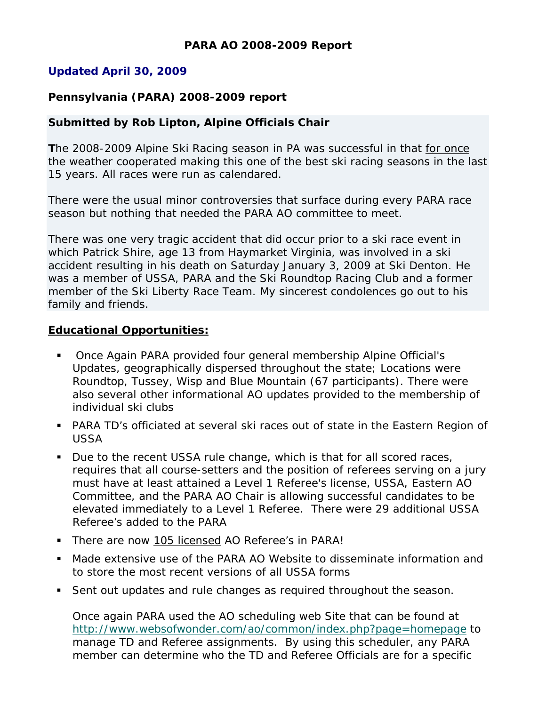# **Updated April 30, 2009**

# **Pennsylvania (PARA) 2008-2009 report**

#### **Submitted by Rob Lipton, Alpine Officials Chair**

**T**he 2008-2009 Alpine Ski Racing season in PA was successful in that for once the weather cooperated making this one of the best ski racing seasons in the last 15 years. All races were run as calendared.

There were the usual minor controversies that surface during every PARA race season but nothing that needed the PARA AO committee to meet.

There was one very tragic accident that did occur prior to a ski race event in which Patrick Shire, age 13 from Haymarket Virginia, was involved in a ski accident resulting in his death on Saturday January 3, 2009 at Ski Denton. He was a member of USSA, PARA and the Ski Roundtop Racing Club and a former member of the Ski Liberty Race Team. My sincerest condolences go out to his family and friends.

#### **Educational Opportunities:**

- Once Again PARA provided four general membership Alpine Official's Updates, geographically dispersed throughout the state; Locations were Roundtop, Tussey, Wisp and Blue Mountain (67 participants). There were also several other informational AO updates provided to the membership of individual ski clubs
- PARA TD's officiated at several ski races out of state in the Eastern Region of USSA
- Due to the recent USSA rule change, which is that for all scored races, requires that all course-setters and the position of referees serving on a jury must have at least attained a Level 1 Referee's license, USSA, Eastern AO Committee, and the PARA AO Chair is allowing successful candidates to be elevated immediately to a Level 1 Referee. There were 29 additional USSA Referee's added to the PARA
- **There are now 105 licensed AO Referee's in PARA!**
- Made extensive use of the PARA AO Website to disseminate information and to store the most recent versions of all USSA forms
- Sent out updates and rule changes as required throughout the season.

Once again PARA used the AO scheduling web Site that can be found at http://www.websofwonder.com/ao/common/index.php?page=homepage to manage TD and Referee assignments. By using this scheduler, any PARA member can determine who the TD and Referee Officials are for a specific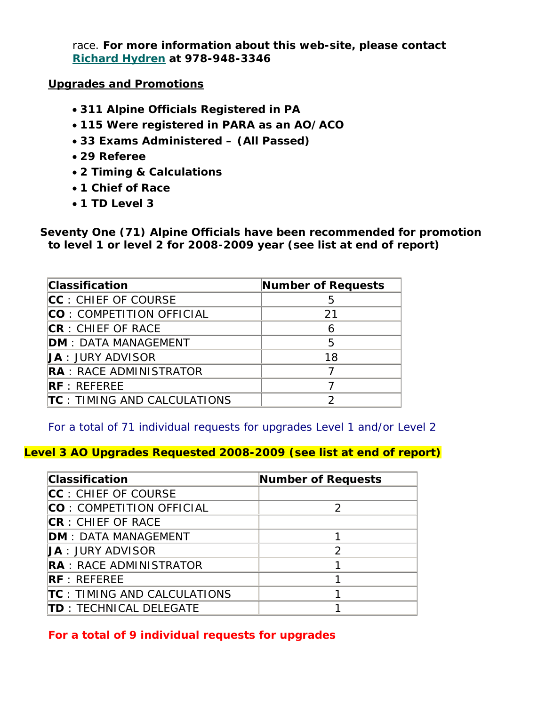race. **For more information about this web-site, please contact Richard Hydren at 978-948-3346** 

#### **Upgrades and Promotions**

- **311 Alpine Officials Registered in PA**
- **115 Were registered in PARA as an AO/ACO**
- **33 Exams Administered (All Passed)**
- **29 Referee**
- **2 Timing & Calculations**
- **1 Chief of Race**
- **1 TD Level 3**

**Seventy One (71) Alpine Officials have been recommended for promotion to level 1 or level 2 for 2008-2009 year (see list at end of report)** 

| <b>Classification</b>               | Number of Requests |
|-------------------------------------|--------------------|
| CC: CHIEF OF COURSE                 | 5                  |
| CO: COMPETITION OFFICIAL            | 21                 |
| CR: CHIEF OF RACE                   | 6                  |
| <b>DM</b> : DATA MANAGEMENT         | 5                  |
| <b>JA</b> : JURY ADVISOR            | 18                 |
| <b>RA</b> : RACE ADMINISTRATOR      |                    |
| RF:REFEREE                          |                    |
| <b>TC</b> : TIMING AND CALCULATIONS |                    |

*For a total of 71 individual requests for upgrades Level 1 and/or Level 2*

## **Level 3 AO Upgrades Requested 2008-2009 (see list at end of report)**

| <b>Classification</b>               | <b>Number of Requests</b> |
|-------------------------------------|---------------------------|
| CC: CHIEF OF COURSE                 |                           |
| <b>CO</b> : COMPETITION OFFICIAL    | $\mathcal{P}$             |
| <b>CR</b> : CHIEF OF RACE           |                           |
| <b>DM: DATA MANAGEMENT</b>          |                           |
| <b>JA: JURY ADVISOR</b>             | $\mathfrak{D}$            |
| <b>RA</b> : RACE ADMINISTRATOR      |                           |
| RF:REFEREE                          |                           |
| <b>TC</b> : TIMING AND CALCULATIONS |                           |
| <b>TD</b> : TECHNICAL DELEGATE      |                           |

*For a total of 9 individual requests for upgrades*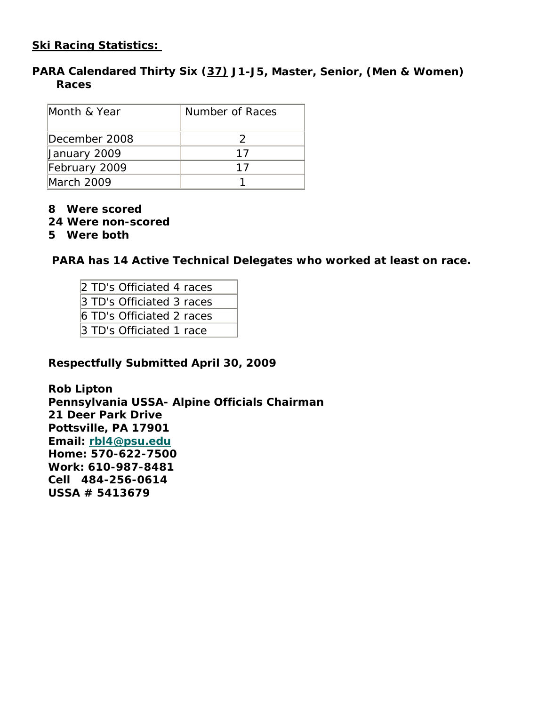# **Ski Racing Statistics:**

# **PARA Calendared Thirty Six (37) J1-J5, Master, Senior, (Men & Women) Races**

| Month & Year  | Number of Races |
|---------------|-----------------|
| December 2008 |                 |
| January 2009  | 17              |
| February 2009 | 17              |
| March 2009    |                 |

- **8 Were scored**
- **24 Were non-scored**
- **5 Were both**

 **PARA has 14 Active Technical Delegates who worked at least on race.** 

| 2 TD's Officiated 4 races |
|---------------------------|
| 3 TD's Officiated 3 races |
| 6 TD's Officiated 2 races |
| 3 TD's Officiated 1 race  |

#### **Respectfully Submitted April 30, 2009**

**Rob Lipton Pennsylvania USSA- Alpine Officials Chairman 21 Deer Park Drive Pottsville, PA 17901 Email: rbl4@psu.edu Home: 570-622-7500 Work: 610-987-8481 Cell 484-256-0614 USSA # 5413679**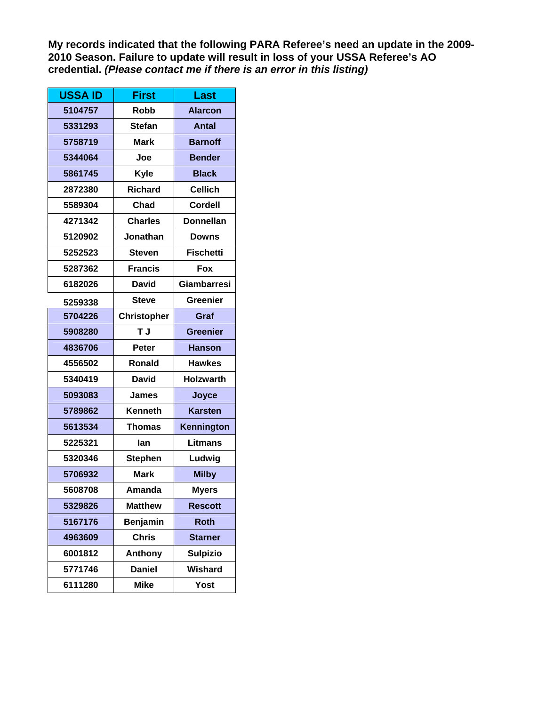**My records indicated that the following PARA Referee's need an update in the 2009- 2010 Season. Failure to update will result in loss of your USSA Referee's AO credential.** *(Please contact me if there is an error in this listing)* 

| <b>USSA ID</b> | <b>First</b>       | Last               |
|----------------|--------------------|--------------------|
| 5104757        | <b>Robb</b>        | <b>Alarcon</b>     |
| 5331293        | <b>Stefan</b>      | <b>Antal</b>       |
| 5758719        | <b>Mark</b>        | <b>Barnoff</b>     |
| 5344064        | Joe                | <b>Bender</b>      |
| 5861745        | Kyle               | <b>Black</b>       |
| 2872380        | <b>Richard</b>     | <b>Cellich</b>     |
| 5589304        | Chad               | <b>Cordell</b>     |
| 4271342        | <b>Charles</b>     | <b>Donnellan</b>   |
| 5120902        | Jonathan           | <b>Downs</b>       |
| 5252523        | <b>Steven</b>      | <b>Fischetti</b>   |
| 5287362        | <b>Francis</b>     | Fox                |
| 6182026        | <b>David</b>       | <b>Giambarresi</b> |
| 5259338        | <b>Steve</b>       | <b>Greenier</b>    |
| 5704226        | <b>Christopher</b> | Graf               |
| 5908280        | T J                | <b>Greenier</b>    |
| 4836706        | <b>Peter</b>       | <b>Hanson</b>      |
| 4556502        | <b>Ronald</b>      | <b>Hawkes</b>      |
| 5340419        | David              | <b>Holzwarth</b>   |
| 5093083        | James              | Joyce              |
| 5789862        | Kenneth            | <b>Karsten</b>     |
| 5613534        | <b>Thomas</b>      | Kennington         |
| 5225321        | lan                | <b>Litmans</b>     |
| 5320346        | <b>Stephen</b>     | Ludwig             |
| 5706932        | <b>Mark</b>        | <b>Milby</b>       |
| 5608708        | Amanda             | <b>Myers</b>       |
| 5329826        | <b>Matthew</b>     | <b>Rescott</b>     |
| 5167176        | Benjamin           | <b>Roth</b>        |
| 4963609        | <b>Chris</b>       | <b>Starner</b>     |
| 6001812        | Anthony            | <b>Sulpizio</b>    |
| 5771746        | <b>Daniel</b>      | Wishard            |
| 6111280        | <b>Mike</b>        | <b>Yost</b>        |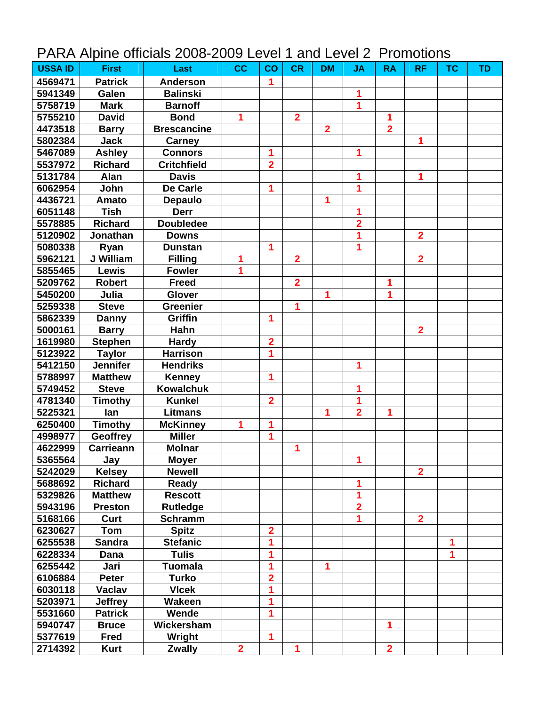|  | PARA Alpine officials 2008-2009 Level 1 and Level 2 Promotions |  |  |  |
|--|----------------------------------------------------------------|--|--|--|
|--|----------------------------------------------------------------|--|--|--|

| <b>USSA ID</b> | <b>First</b>     | Last               | cc                      | $\overline{\mathbf{c}}$ | <b>CR</b>               | <b>DM</b>      | <b>JA</b>               | <b>RA</b>      | <b>RF</b>               | <b>TC</b> | <b>TD</b> |
|----------------|------------------|--------------------|-------------------------|-------------------------|-------------------------|----------------|-------------------------|----------------|-------------------------|-----------|-----------|
| 4569471        | <b>Patrick</b>   | <b>Anderson</b>    |                         | 1                       |                         |                |                         |                |                         |           |           |
| 5941349        | Galen            | <b>Balinski</b>    |                         |                         |                         |                | 1                       |                |                         |           |           |
| 5758719        | <b>Mark</b>      | <b>Barnoff</b>     |                         |                         |                         |                | 1                       |                |                         |           |           |
| 5755210        | <b>David</b>     | <b>Bond</b>        | 1                       |                         | $\overline{\mathbf{2}}$ |                |                         | 1              |                         |           |           |
| 4473518        | <b>Barry</b>     | <b>Brescancine</b> |                         |                         |                         | $\overline{2}$ |                         | $\overline{2}$ |                         |           |           |
| 5802384        | <b>Jack</b>      | <b>Carney</b>      |                         |                         |                         |                |                         |                | 1                       |           |           |
| 5467089        | <b>Ashley</b>    | <b>Connors</b>     |                         | 1                       |                         |                | 1                       |                |                         |           |           |
| 5537972        | <b>Richard</b>   | <b>Critchfield</b> |                         | $\overline{2}$          |                         |                |                         |                |                         |           |           |
| 5131784        | Alan             | <b>Davis</b>       |                         |                         |                         |                | 1                       |                | 1                       |           |           |
| 6062954        | John             | <b>De Carle</b>    |                         | 1                       |                         |                | 1                       |                |                         |           |           |
| 4436721        | <b>Amato</b>     | <b>Depaulo</b>     |                         |                         |                         | 1              |                         |                |                         |           |           |
| 6051148        | <b>Tish</b>      | <b>Derr</b>        |                         |                         |                         |                | 1                       |                |                         |           |           |
| 5578885        | <b>Richard</b>   | <b>Doubledee</b>   |                         |                         |                         |                | $\overline{\mathbf{2}}$ |                |                         |           |           |
| 5120902        | Jonathan         | <b>Downs</b>       |                         |                         |                         |                | 1                       |                | $\overline{2}$          |           |           |
| 5080338        | Ryan             | <b>Dunstan</b>     |                         | 1                       |                         |                | 1                       |                |                         |           |           |
| 5962121        | J William        | <b>Filling</b>     | 1                       |                         | $\overline{\mathbf{2}}$ |                |                         |                | $\overline{\mathbf{2}}$ |           |           |
| 5855465        | Lewis            | <b>Fowler</b>      | 1                       |                         |                         |                |                         |                |                         |           |           |
| 5209762        | <b>Robert</b>    | <b>Freed</b>       |                         |                         | $\overline{\mathbf{2}}$ |                |                         | 1              |                         |           |           |
| 5450200        | Julia            | Glover             |                         |                         |                         | 1              |                         | 1              |                         |           |           |
| 5259338        | <b>Steve</b>     | <b>Greenier</b>    |                         |                         | 1                       |                |                         |                |                         |           |           |
| 5862339        | <b>Danny</b>     | Griffin            |                         | 1                       |                         |                |                         |                |                         |           |           |
| 5000161        | <b>Barry</b>     | Hahn               |                         |                         |                         |                |                         |                | $\overline{2}$          |           |           |
| 1619980        | <b>Stephen</b>   | <b>Hardy</b>       |                         | $\overline{\mathbf{2}}$ |                         |                |                         |                |                         |           |           |
| 5123922        | <b>Taylor</b>    | <b>Harrison</b>    |                         | 1                       |                         |                |                         |                |                         |           |           |
| 5412150        | <b>Jennifer</b>  | <b>Hendriks</b>    |                         |                         |                         |                | 1                       |                |                         |           |           |
| 5788997        | <b>Matthew</b>   | <b>Kenney</b>      |                         | 1                       |                         |                |                         |                |                         |           |           |
| 5749452        | <b>Steve</b>     | <b>Kowalchuk</b>   |                         |                         |                         |                | 1                       |                |                         |           |           |
| 4781340        | <b>Timothy</b>   | <b>Kunkel</b>      |                         | $\overline{\mathbf{2}}$ |                         |                | 1                       |                |                         |           |           |
| 5225321        | lan              | <b>Litmans</b>     |                         |                         |                         | 1              | $\overline{\mathbf{2}}$ | 1              |                         |           |           |
| 6250400        | <b>Timothy</b>   | <b>McKinney</b>    | 1                       | 1                       |                         |                |                         |                |                         |           |           |
| 4998977        | Geoffrey         | <b>Miller</b>      |                         | 1                       |                         |                |                         |                |                         |           |           |
| 4622999        | <b>Carrieann</b> | <b>Molnar</b>      |                         |                         | 1                       |                |                         |                |                         |           |           |
| 5365564        | Jay              | <b>Moyer</b>       |                         |                         |                         |                | 1                       |                |                         |           |           |
| 5242029        | <b>Kelsey</b>    | <b>Newell</b>      |                         |                         |                         |                |                         |                | $\overline{\mathbf{2}}$ |           |           |
| 5688692        | <b>Richard</b>   | Ready              |                         |                         |                         |                | 1                       |                |                         |           |           |
| 5329826        | <b>Matthew</b>   | <b>Rescott</b>     |                         |                         |                         |                | 1                       |                |                         |           |           |
| 5943196        | <b>Preston</b>   | <b>Rutledge</b>    |                         |                         |                         |                | $\overline{\mathbf{2}}$ |                |                         |           |           |
| 5168166        | Curt             | <b>Schramm</b>     |                         |                         |                         |                | 1                       |                | $\overline{2}$          |           |           |
| 6230627        | Tom              | <b>Spitz</b>       |                         | $\overline{\mathbf{2}}$ |                         |                |                         |                |                         |           |           |
| 6255538        | <b>Sandra</b>    | <b>Stefanic</b>    |                         | 1                       |                         |                |                         |                |                         | 1         |           |
| 6228334        | Dana             | <b>Tulis</b>       |                         | 1                       |                         |                |                         |                |                         | 1         |           |
| 6255442        | Jari             | <b>Tuomala</b>     |                         | 1                       |                         | 1              |                         |                |                         |           |           |
| 6106884        | Peter            | <b>Turko</b>       |                         | $\overline{2}$          |                         |                |                         |                |                         |           |           |
| 6030118        | <b>Vaclav</b>    | <b>Vicek</b>       |                         | 1                       |                         |                |                         |                |                         |           |           |
| 5203971        | <b>Jeffrey</b>   | Wakeen             |                         |                         |                         |                |                         |                |                         |           |           |
| 5531660        | <b>Patrick</b>   | Wende              |                         | 1                       |                         |                |                         |                |                         |           |           |
| 5940747        | <b>Bruce</b>     | Wickersham         |                         |                         |                         |                |                         | 1              |                         |           |           |
| 5377619        | <b>Fred</b>      | Wright             |                         | 1                       |                         |                |                         |                |                         |           |           |
| 2714392        | <b>Kurt</b>      | <b>Zwally</b>      | $\overline{\mathbf{2}}$ |                         | 1                       |                |                         | $\overline{2}$ |                         |           |           |